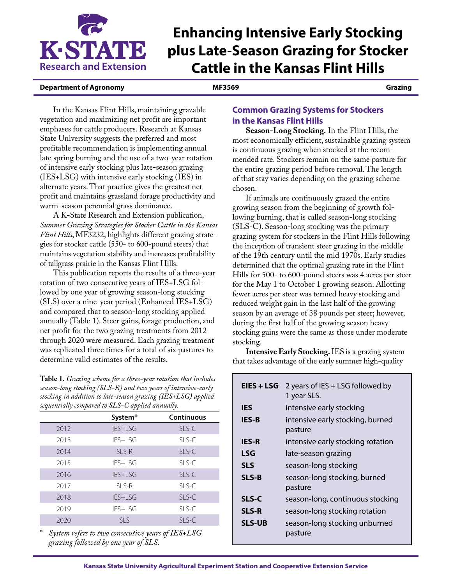

# **Enhancing Intensive Early Stocking plus Late-Season Grazing for Stocker Cattle in the Kansas Flint Hills**

## **Department of Agronomy MF3569 Grazing**

In the Kansas Flint Hills, maintaining grazable vegetation and maximizing net profit are important emphases for cattle producers. Research at Kansas State University suggests the preferred and most profitable recommendation is implementing annual late spring burning and the use of a two-year rotation of intensive early stocking plus late-season grazing (IES+LSG) with intensive early stocking (IES) in alternate years. That practice gives the greatest net profit and maintains grassland forage productivity and warm-season perennial grass dominance.

A K-State Research and Extension publication, *Summer Grazing Strategies for Stocker Cattle in the Kansas Flint Hills*, MF3232, highlights different grazing strategies for stocker cattle (550- to 600-pound steers) that maintains vegetation stability and increases profitability of tallgrass prairie in the Kansas Flint Hills.

This publication reports the results of a three-year rotation of two consecutive years of IES+LSG followed by one year of growing season-long stocking (SLS) over a nine-year period (Enhanced IES+LSG) and compared that to season-long stocking applied annually (Table 1). Steer gains, forage production, and net profit for the two grazing treatments from 2012 through 2020 were measured. Each grazing treatment was replicated three times for a total of six pastures to determine valid estimates of the results.

**Table 1.** *Grazing scheme for a three-year rotation that includes season-long stocking (SLS-R) and two years of intensive-early stocking in addition to late-season grazing (IES+LSG) applied sequentially compared to SLS-C applied annually.* 

|      | System*    | <b>Continuous</b> |
|------|------------|-------------------|
| 2012 | IES+LSG    | SLS-C             |
| 2013 | IES+LSG    | SLS-C             |
| 2014 | SLS-R      | SLS-C             |
| 2015 | IES+LSG    | SLS-C             |
| 2016 | IES+LSG    | SLS-C             |
| 2017 | SLS-R      | SLS-C             |
| 2018 | IES+LSG    | SLS-C             |
| 2019 | IES+LSG    | SLS-C             |
| 2020 | <b>SLS</b> | SLS-C             |
|      |            |                   |

\* *System refers to two consecutive years of IES+LSG grazing followed by one year of SLS.* 

# **Common Grazing Systems for Stockers in the Kansas Flint Hills**

**Season-Long Stocking.** In the Flint Hills, the most economically efficient, sustainable grazing system is continuous grazing when stocked at the recommended rate. Stockers remain on the same pasture for the entire grazing period before removal. The length of that stay varies depending on the grazing scheme chosen.

If animals are continuously grazed the entire growing season from the beginning of growth following burning, that is called season-long stocking (SLS-C). Season-long stocking was the primary grazing system for stockers in the Flint Hills following the inception of transient steer grazing in the middle of the 19th century until the mid 1970s. Early studies determined that the optimal grazing rate in the Flint Hills for 500- to 600-pound steers was 4 acres per steer for the May 1 to October 1 growing season. Allotting fewer acres per steer was termed heavy stocking and reduced weight gain in the last half of the growing season by an average of 38 pounds per steer; however, during the first half of the growing season heavy stocking gains were the same as those under moderate stocking.

**Intensive Early Stocking.**IES is a grazing system that takes advantage of the early summer high-quality

| EIES + LSG    | 2 years of IES + LSG followed by<br>1 year SLS. |
|---------------|-------------------------------------------------|
| <b>IES</b>    | intensive early stocking                        |
| <b>IES-B</b>  | intensive early stocking, burned<br>pasture     |
| <b>IES-R</b>  | intensive early stocking rotation               |
| LSG           | late-season grazing                             |
| <b>SLS</b>    | season-long stocking                            |
| <b>SLS-B</b>  | season-long stocking, burned<br>pasture         |
| <b>SLS-C</b>  | season-long, continuous stocking                |
| <b>SLS-R</b>  | season-long stocking rotation                   |
| <b>SLS-UB</b> | season-long stocking unburned<br>pasture        |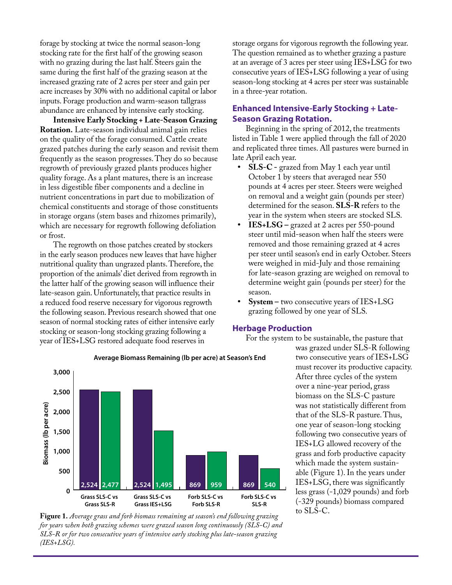forage by stocking at twice the normal season-long stocking rate for the first half of the growing season with no grazing during the last half. Steers gain the same during the first half of the grazing season at the increased grazing rate of 2 acres per steer and gain per acre increases by 30% with no additional capital or labor inputs. Forage production and warm-season tallgrass abundance are enhanced by intensive early stocking.

**Intensive Early Stocking + Late-Season Grazing Rotation.** Late-season individual animal gain relies on the quality of the forage consumed. Cattle create grazed patches during the early season and revisit them frequently as the season progresses. They do so because regrowth of previously grazed plants produces higher quality forage. As a plant matures, there is an increase in less digestible fiber components and a decline in nutrient concentrations in part due to mobilization of chemical constituents and storage of those constituents in storage organs (stem bases and rhizomes primarily), which are necessary for regrowth following defoliation or frost.

The regrowth on those patches created by stockers in the early season produces new leaves that have higher nutritional quality than ungrazed plants. Therefore, the proportion of the animals' diet derived from regrowth in the latter half of the growing season will influence their late-season gain. Unfortunately, that practice results in a reduced food reserve necessary for vigorous regrowth the following season. Previous research showed that one season of normal stocking rates of either intensive early stocking or season-long stocking grazing following a year of IES+LSG restored adequate food reserves in

storage organs for vigorous regrowth the following year. The question remained as to whether grazing a pasture at an average of 3 acres per steer using IES+LSG for two consecutive years of IES+LSG following a year of using season-long stocking at 4 acres per steer was sustainable in a three-year rotation.

# **Enhanced Intensive-Early Stocking + Late-Season Grazing Rotation.**

Beginning in the spring of 2012, the treatments listed in Table 1 were applied through the fall of 2020 and replicated three times. All pastures were burned in late April each year.

- **• SLS-C -** grazed from May 1 each year until October 1 by steers that averaged near 550 pounds at 4 acres per steer. Steers were weighed on removal and a weight gain (pounds per steer) determined for the season. **SLS-R** refers to the year in the system when steers are stocked SLS.
- **• IES+LSG –** grazed at 2 acres per 550-pound steer until mid-season when half the steers were removed and those remaining grazed at 4 acres per steer until season's end in early October. Steers were weighed in mid-July and those remaining for late-season grazing are weighed on removal to determine weight gain (pounds per steer) for the season.
- **• System –** two consecutive years of IES+LSG grazing followed by one year of SLS.

## **Herbage Production**

For the system to be sustainable, the pasture that



Figure 1. Average grass and forb biomass remaining at season's end following grazing *for years when both grazing schemes were grazed season long continuously (SLS-C) and SLS-R or for two consecutive years of intensive early stocking plus late-season grazing (IES+LSG).*

#### **Average Biomass Remaining (lb per acre) at Season's End**

was grazed under SLS-R following two consecutive years of IES+LSG must recover its productive capacity. After three cycles of the system over a nine-year period, grass biomass on the SLS-C pasture was not statistically different from that of the SLS-R pasture. Thus, one year of season-long stocking following two consecutive years of IES+LG allowed recovery of the grass and forb productive capacity which made the system sustainable (Figure 1). In the years under IES+LSG, there was significantly less grass (-1,029 pounds) and forb (-329 pounds) biomass compared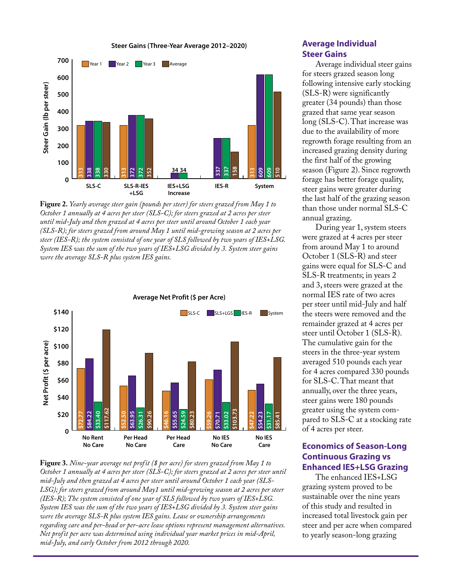**Steer Gains (Three-Year Average 2012–2020)**



**Figure 2.** *Yearly average steer gain (pounds per steer) for steers grazed from May 1 to October 1 annually at 4 acres per steer (SLS-C); for steers grazed at 2 acres per steer until mid-July and then grazed at 4 acres per steer until around October 1 each year (SLS-R); for steers grazed from around May 1 until mid-growing season at 2 acres per steer (IES-R); the system consisted of one year of SLS followed by two years of IES+LSG. System IES was the sum of the two years of IES+LSG divided by 3. System steer gains were the average SLS-R plus system IES gains.*



**Figure 3.** *Nine-year average net profit (\$ per acre) for steers grazed from May 1 to October 1 annually at 4 acres per steer (SLS-C); for steers grazed at 2 acres per steer until mid-July and then grazed at 4 acres per steer until around October 1 each year (SLS-LSG); for steers grazed from around May1 until mid-growing season at 2 acres per steer (IES-R); The system consisted of one year of SLS followed by two years of IES+LSG. System IES was the sum of the two years of IES+LSG divided by 3. System steer gains were the average SLS-R plus system IES gains. Lease or ownership arrangements regarding care and per-head or per-acre lease options represent management alternatives. Net profit per acre was determined using individual year market prices in mid-April, mid-July, and early October from 2012 through 2020.* 

## **Average Individual Steer Gains**

Average individual steer gains for steers grazed season long following intensive early stocking (SLS-R) were significantly greater (34 pounds) than those grazed that same year season long (SLS-C). That increase was due to the availability of more regrowth forage resulting from an increased grazing density during the first half of the growing season (Figure 2). Since regrowth forage has better forage quality, steer gains were greater during the last half of the grazing season than those under normal SLS-C annual grazing.

During year 1, system steers were grazed at 4 acres per steer from around May 1 to around October 1 (SLS-R) and steer gains were equal for SLS-C and SLS-R treatments; in years 2 and 3, steers were grazed at the normal IES rate of two acres per steer until mid-July and half the steers were removed and the remainder grazed at 4 acres per steer until October 1 (SLS-R). The cumulative gain for the steers in the three-year system averaged 510 pounds each year for 4 acres compared 330 pounds for SLS-C. That meant that annually, over the three years, steer gains were 180 pounds greater using the system compared to SLS-C at a stocking rate of 4 acres per steer.

# **Economics of Season-Long Continuous Grazing vs Enhanced IES+LSG Grazing**

The enhanced IES+LSG grazing system proved to be sustainable over the nine years of this study and resulted in increased total livestock gain per steer and per acre when compared to yearly season-long grazing